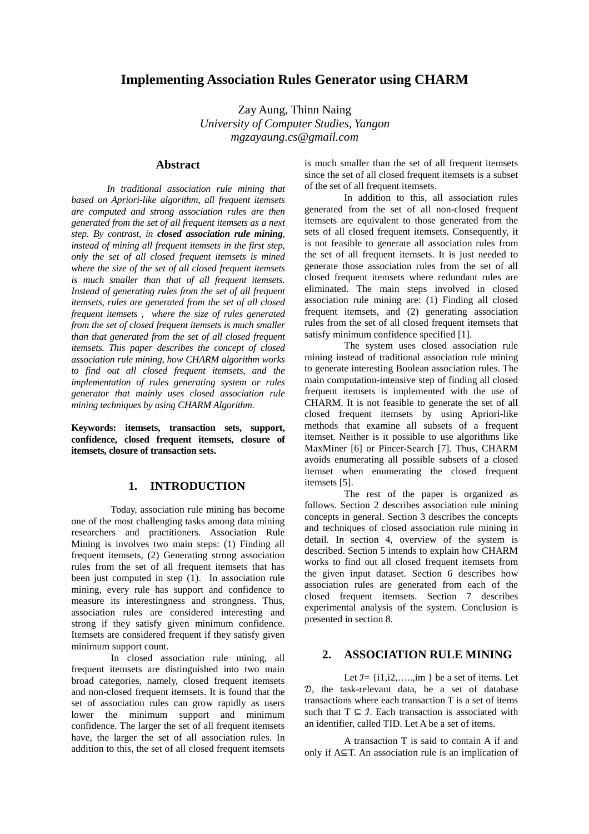# **Implementing Association Rules Generator using CHARM**

Zay Aung, Thinn Naing *University of Computer Studies, Yangon mgzayaung.cs@gmail.com* 

### **Abstract**

*In traditional association rule mining that based on Apriori-like algorithm, all frequent itemsets are computed and strong association rules are then generated from the set of all frequent itemsets as a next step. By contrast, in closed association rule mining, instead of mining all frequent itemsets in the first step, only the set of all closed frequent itemsets is mined where the size of the set of all closed frequent itemsets is much smaller than that of all frequent itemsets. Instead of generating rules from the set of all frequent itemsets, rules are generated from the set of all closed frequent itemsets , where the size of rules generated from the set of closed frequent itemsets is much smaller than that generated from the set of all closed frequent itemsets. This paper describes the concept of closed association rule mining, how CHARM algorithm works to find out all closed frequent itemsets, and the implementation of rules generating system or rules generator that mainly uses closed association rule mining techniques by using CHARM Algorithm.* 

**Keywords: itemsets, transaction sets, support, confidence, closed frequent itemsets, closure of itemsets, closure of transaction sets.** 

## **1. INTRODUCTION**

 Today, association rule mining has become one of the most challenging tasks among data mining researchers and practitioners. Association Rule Mining is involves two main steps: (1) Finding all frequent itemsets, (2) Generating strong association rules from the set of all frequent itemsets that has been just computed in step (1). In association rule mining, every rule has support and confidence to measure its interestingness and strongness. Thus, association rules are considered interesting and strong if they satisfy given minimum confidence. Itemsets are considered frequent if they satisfy given minimum support count.

 In closed association rule mining, all frequent itemsets are distinguished into two main broad categories, namely, closed frequent itemsets and non-closed frequent itemsets. It is found that the set of association rules can grow rapidly as users lower the minimum support and minimum confidence. The larger the set of all frequent itemsets have, the larger the set of all association rules. In addition to this, the set of all closed frequent itemsets is much smaller than the set of all frequent itemsets since the set of all closed frequent itemsets is a subset of the set of all frequent itemsets.

 In addition to this, all association rules generated from the set of all non-closed frequent itemsets are equivalent to those generated from the sets of all closed frequent itemsets. Consequently, it is not feasible to generate all association rules from the set of all frequent itemsets. It is just needed to generate those association rules from the set of all closed frequent itemsets where redundant rules are eliminated. The main steps involved in closed association rule mining are: (1) Finding all closed frequent itemsets, and (2) generating association rules from the set of all closed frequent itemsets that satisfy minimum confidence specified [1].

 The system uses closed association rule mining instead of traditional association rule mining to generate interesting Boolean association rules. The main computation-intensive step of finding all closed frequent itemsets is implemented with the use of CHARM. It is not feasible to generate the set of all closed frequent itemsets by using Apriori-like methods that examine all subsets of a frequent itemset. Neither is it possible to use algorithms like MaxMiner [6] or Pincer-Search [7]. Thus, CHARM avoids enumerating all possible subsets of a closed itemset when enumerating the closed frequent itemsets [5].

 The rest of the paper is organized as follows. Section 2 describes association rule mining concepts in general. Section 3 describes the concepts and techniques of closed association rule mining in detail. In section 4, overview of the system is described. Section 5 intends to explain how CHARM works to find out all closed frequent itemsets from the given input dataset. Section 6 describes how association rules are generated from each of the closed frequent itemsets. Section 7 describes experimental analysis of the system. Conclusion is presented in section 8.

## **2. ASSOCIATION RULE MINING**

Let  $I = \{i1, i2, \ldots, im\}$  be a set of items. Let -, the task-relevant data, be a set of database transactions where each transaction T is a set of items such that  $T \subseteq I$ . Each transaction is associated with an identifier, called TID. Let A be a set of items.

 A transaction T is said to contain A if and only if A⊆T. An association rule is an implication of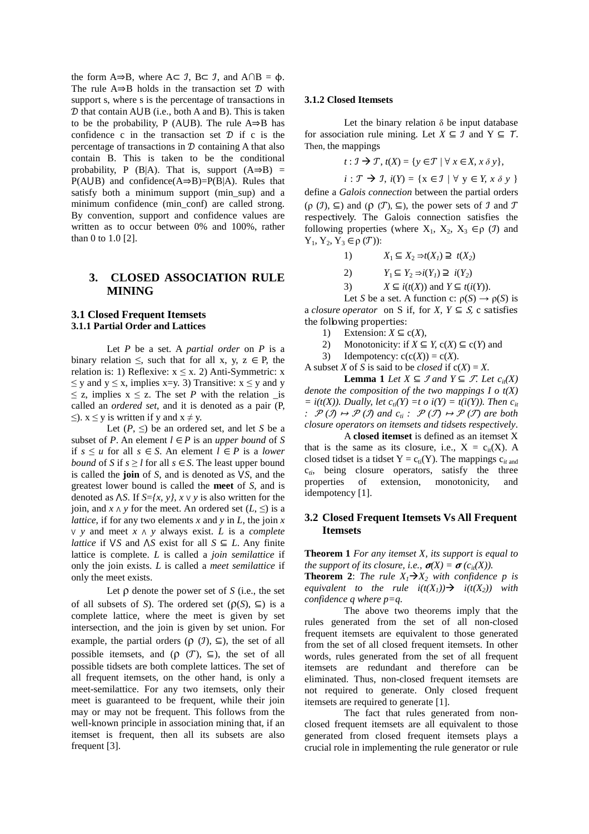the form  $A\Rightarrow B$ , where  $A\subseteq \mathcal{I}$ ,  $B\subseteq \mathcal{I}$ , and  $A\cap B = \Phi$ . The rule  $A \Rightarrow B$  holds in the transaction set  $D$  with support s, where s is the percentage of transactions in  $D$  that contain  $A \cup B$  (i.e., both A and B). This is taken to be the probability, P (AUB). The rule  $A \Rightarrow B$  has confidence c in the transaction set  $\mathcal{D}$  if c is the percentage of transactions in  $D$  containing A that also contain B. This is taken to be the conditional probability, P (B|A). That is, support  $(A\Rightarrow B)$  =  $P(A \cup B)$  and confidence( $A \Rightarrow B$ )= $P(B|A)$ . Rules that satisfy both a minimum support (min\_sup) and a minimum confidence (min\_conf) are called strong. By convention, support and confidence values are written as to occur between 0% and 100%, rather than 0 to 1.0 [2].

### **3. CLOSED ASSOCIATION RULE MINING**

### **3.1 Closed Frequent Itemsets 3.1.1 Partial Order and Lattices**

Let *P* be a set. A *partial order* on *P* is a binary relation  $\leq$ , such that for all x, y, z  $\in$  P, the relation is: 1) Reflexive:  $x \le x$ . 2) Anti-Symmetric: x  $\leq$  y and y  $\leq$  x, implies x=y. 3) Transitive:  $x \leq y$  and y  $\leq$  z, implies  $x \leq z$ . The set *P* with the relation \_is called an *ordered set*, and it is denoted as a pair (P,  $\leq$ ).  $x \leq y$  is written if y and  $x \neq y$ .

Let  $(P, \leq)$  be an ordered set, and let *S* be a subset of *P*. An element  $l \in P$  is an *upper bound* of *S* if *s* ≤ *u* for all *s* ∈ *S*. An element *l* ∈ *P* is a *lower bound* of *S* if  $s \ge l$  for all  $s \in S$ . The least upper bound is called the **join** of *S*, and is denoted as  $\sqrt{S}$ , and the greatest lower bound is called the **meet** of *S*, and is denoted as  $\Delta S$ . If  $S = \{x, y\}$ ,  $x \vee y$  is also written for the ioin, and  $x \wedge y$  for the meet. An ordered set  $(L, \leq)$  is a *lattice*, if for any two elements *x* and *y* in *L*, the join *x* <sup>⋁</sup> *y* and meet *x* <sup>⋀</sup> *y* always exist. *L* is a *complete lattice* if  $\sqrt{S}$  and  $\sqrt{S}$  exist for all  $S \subseteq L$ . Any finite lattice is complete. *L* is called a *join semilattice* if only the join exists. *L* is called a *meet semilattice* if only the meet exists.

Let  $\rho$  denote the power set of  $S$  (i.e., the set of all subsets of *S*). The ordered set  $(\rho(S), \subseteq)$  is a complete lattice, where the meet is given by set intersection, and the join is given by set union. For example, the partial orders ( $\rho$  ( $\mathcal{I}$ ),  $\subseteq$ ), the set of all possible itemsets, and  $(\rho \ (\mathcal{T}), \subseteq)$ , the set of all possible tidsets are both complete lattices. The set of all frequent itemsets, on the other hand, is only a meet-semilattice. For any two itemsets, only their meet is guaranteed to be frequent, while their join may or may not be frequent. This follows from the well-known principle in association mining that, if an itemset is frequent, then all its subsets are also frequent [3].

#### **3.1.2 Closed Itemsets**

Let the binary relation  $\delta$  be input database for association rule mining. Let  $X \subseteq \mathcal{I}$  and  $Y \subseteq \mathcal{T}$ . Then, the mappings

$$
t: \mathcal{I} \rightarrow \mathcal{T}, t(X) = \{ y \in \mathcal{T} \mid \forall x \in X, x \, \delta \, y \},
$$

 $i: \mathcal{T} \rightarrow \mathcal{I}, i(Y) = \{x \in \mathcal{I} \mid \forall y \in Y, x \delta y\}$ 

define a *Galois connection* between the partial orders  $(p (J), \subseteq)$  and  $(p (T), \subseteq)$ , the power sets of J and T respectively. The Galois connection satisfies the following properties (where  $X_1, X_2, X_3 \in \rho(\mathcal{I})$  and  $Y_1, Y_2, Y_3 \in \rho(\mathcal{T})$ :

1) 
$$
X_1 \subseteq X_2 \Rightarrow t(X_1) \supseteq t(X_2)
$$

2)  $Y_1 \subseteq Y_2 \Rightarrow i(Y_1) \supseteq i(Y_2)$ 

3)  $X \subseteq i(t(X))$  and  $Y \subseteq t(i(Y))$ .

Let *S* be a set. A function c:  $\rho(S) \rightarrow \rho(S)$  is a *closure operator* on S if, for *X*,  $Y \subseteq S$ , c satisfies the following properties:

- 1) Extension:  $X \subseteq c(X)$ ,
- 2) Monotonicity: if  $X \subseteq Y$ ,  $c(X) \subseteq c(Y)$  and
- 3) Idempotency:  $c(c(X)) = c(X)$ .

A subset *X* of *S* is said to be *closed* if  $c(X) = X$ .

**Lemma 1** *Let*  $X \subseteq \mathcal{I}$  *and*  $Y \subseteq \mathcal{F}$ *. Let*  $c_{it}(X)$ *denote the composition of the two mappings I o t(X)*  $= i(t(X))$ . Dually, let  $c_{ti}(Y) = t$  o  $i(Y) = t(i(Y))$ . Then  $c_{it}$ *:*  $\mathcal{P}(\mathcal{I}) \mapsto \mathcal{P}(\mathcal{I})$  and  $c_i : \mathcal{P}(\mathcal{I}) \mapsto \mathcal{P}(\mathcal{I})$  are both *closure operators on itemsets and tidsets respectively*.

 A **closed itemset** is defined as an itemset X that is the same as its closure, i.e.,  $X = c_{it}(X)$ . A closed tidset is a tidset  $Y = c_{ti}(Y)$ . The mappings  $c_{it}$  and c*ti*, being closure operators, satisfy the three properties of extension, monotonicity, and idempotency [1].

### **3.2 Closed Frequent Itemsets Vs All Frequent Itemsets**

**Theorem 1** *For any itemset X, its support is equal to the support of its closure, i.e.,*  $\sigma(X) = \sigma(c_{it}(X))$ .

**Theorem 2:** *The rule*  $X_1 \rightarrow X_2$  *with confidence p is equivalent to the rule*  $i(t(X_1)) \rightarrow i(t(X_2))$  *with confidence q where p=q.* 

 The above two theorems imply that the rules generated from the set of all non-closed frequent itemsets are equivalent to those generated from the set of all closed frequent itemsets. In other words, rules generated from the set of all frequent itemsets are redundant and therefore can be eliminated. Thus, non-closed frequent itemsets are not required to generate. Only closed frequent itemsets are required to generate [1].

 The fact that rules generated from nonclosed frequent itemsets are all equivalent to those generated from closed frequent itemsets plays a crucial role in implementing the rule generator or rule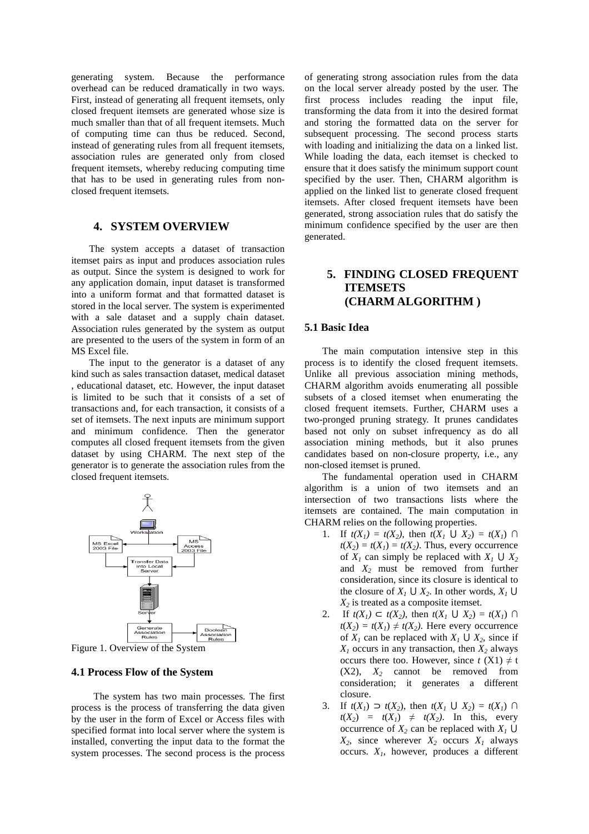generating system. Because the performance overhead can be reduced dramatically in two ways. First, instead of generating all frequent itemsets, only closed frequent itemsets are generated whose size is much smaller than that of all frequent itemsets. Much of computing time can thus be reduced. Second, instead of generating rules from all frequent itemsets, association rules are generated only from closed frequent itemsets, whereby reducing computing time that has to be used in generating rules from nonclosed frequent itemsets.

### **4. SYSTEM OVERVIEW**

The system accepts a dataset of transaction itemset pairs as input and produces association rules as output. Since the system is designed to work for any application domain, input dataset is transformed into a uniform format and that formatted dataset is stored in the local server. The system is experimented with a sale dataset and a supply chain dataset. Association rules generated by the system as output are presented to the users of the system in form of an MS Excel file.

The input to the generator is a dataset of any kind such as sales transaction dataset, medical dataset , educational dataset, etc. However, the input dataset is limited to be such that it consists of a set of transactions and, for each transaction, it consists of a set of itemsets. The next inputs are minimum support and minimum confidence. Then the generator computes all closed frequent itemsets from the given dataset by using CHARM. The next step of the generator is to generate the association rules from the closed frequent itemsets.



Figure 1. Overview of the System

#### **4.1 Process Flow of the System**

The system has two main processes. The first process is the process of transferring the data given by the user in the form of Excel or Access files with specified format into local server where the system is installed, converting the input data to the format the system processes. The second process is the process

of generating strong association rules from the data on the local server already posted by the user. The first process includes reading the input file, transforming the data from it into the desired format and storing the formatted data on the server for subsequent processing. The second process starts with loading and initializing the data on a linked list. While loading the data, each itemset is checked to ensure that it does satisfy the minimum support count specified by the user. Then, CHARM algorithm is applied on the linked list to generate closed frequent itemsets. After closed frequent itemsets have been generated, strong association rules that do satisfy the minimum confidence specified by the user are then generated.

# **5. FINDING CLOSED FREQUENT ITEMSETS (CHARM ALGORITHM )**

#### **5.1 Basic Idea**

The main computation intensive step in this process is to identify the closed frequent itemsets. Unlike all previous association mining methods, CHARM algorithm avoids enumerating all possible subsets of a closed itemset when enumerating the closed frequent itemsets. Further, CHARM uses a two-pronged pruning strategy. It prunes candidates based not only on subset infrequency as do all association mining methods, but it also prunes candidates based on non-closure property, i.e., any non-closed itemset is pruned.

The fundamental operation used in CHARM algorithm is a union of two itemsets and an intersection of two transactions lists where the itemsets are contained. The main computation in CHARM relies on the following properties.

- 1. If  $t(X_1) = t(X_2)$ , then  $t(X_1 \cup X_2) = t(X_1) \cap$  $t(X_2) = t(X_1) = t(X_2)$ . Thus, every occurrence of  $X_1$  can simply be replaced with  $X_1 \cup X_2$ and *X2* must be removed from further consideration, since its closure is identical to the closure of  $X_1 \cup X_2$ . In other words,  $X_1 \cup$ *X2* is treated as a composite itemset.
- 2. If  $t(X_1) \subset t(X_2)$ , then  $t(X_1 \cup X_2) = t(X_1) \cap$  $t(X_2) = t(X_1) \neq t(X_2)$ . Here every occurrence of  $X_1$  can be replaced with  $X_1 \cup X_2$ , since if  $X_1$  occurs in any transaction, then  $X_2$  always occurs there too. However, since  $t(X1) \neq t$  $(X2)$ ,  $X_2$  cannot be removed from consideration; it generates a different closure.
- 3. If  $t(X_1) \supset t(X_2)$ , then  $t(X_1 \cup X_2) = t(X_1) \cap$  $t(X_2) = t(X_1) \neq t(X_2)$ . In this, every occurrence of  $X_2$  can be replaced with  $X_1 \cup$  $X_2$ , since wherever  $X_2$  occurs  $X_1$  always occurs. *X1*, however, produces a different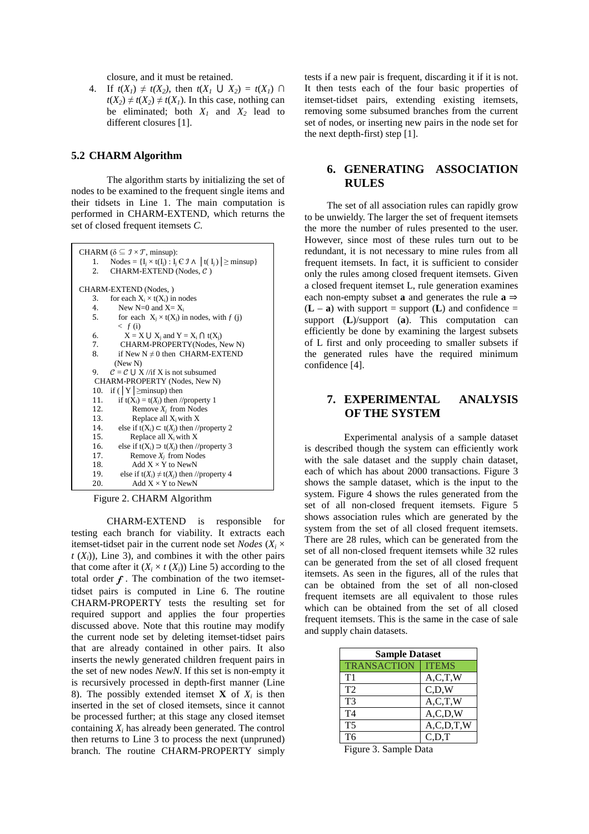closure, and it must be retained.

4. If  $t(X_1) \neq t(X_2)$ , then  $t(X_1 \cup X_2) = t(X_1) \cap$  $t(X_2) \neq t(X_2) \neq t(X_1)$ . In this case, nothing can be eliminated; both  $X_1$  and  $X_2$  lead to different closures [1].

#### **5.2 CHARM Algorithm**

 The algorithm starts by initializing the set of nodes to be examined to the frequent single items and their tidsets in Line 1. The main computation is performed in CHARM-EXTEND, which returns the set of closed frequent itemsets *C*.



Figure 2. CHARM Algorithm

CHARM-EXTEND is responsible for testing each branch for viability. It extracts each itemset-tidset pair in the current node set *Nodes* ( $X_i \times$  $t(X_i)$ , Line 3), and combines it with the other pairs that come after it  $(X_i \times t(X_i))$  Line 5) according to the total order  $f$ . The combination of the two itemsettidset pairs is computed in Line 6. The routine CHARM-PROPERTY tests the resulting set for required support and applies the four properties discussed above. Note that this routine may modify the current node set by deleting itemset-tidset pairs that are already contained in other pairs. It also inserts the newly generated children frequent pairs in the set of new nodes *NewN*. If this set is non-empty it is recursively processed in depth-first manner (Line 8). The possibly extended itemset **X** of  $X_i$  is then inserted in the set of closed itemsets, since it cannot be processed further; at this stage any closed itemset containing  $X_i$  has already been generated. The control then returns to Line 3 to process the next (unpruned) branch. The routine CHARM-PROPERTY simply tests if a new pair is frequent, discarding it if it is not. It then tests each of the four basic properties of itemset-tidset pairs, extending existing itemsets, removing some subsumed branches from the current set of nodes, or inserting new pairs in the node set for the next depth-first) step [1].

## **6. GENERATING ASSOCIATION RULES**

The set of all association rules can rapidly grow to be unwieldy. The larger the set of frequent itemsets the more the number of rules presented to the user. However, since most of these rules turn out to be redundant, it is not necessary to mine rules from all frequent itemsets. In fact, it is sufficient to consider only the rules among closed frequent itemsets. Given a closed frequent itemset L, rule generation examines each non-empty subset **a** and generates the rule  $\mathbf{a} \Rightarrow$  $(L - a)$  with support = support  $(L)$  and confidence = support (**L**)/support (**a**). This computation can efficiently be done by examining the largest subsets of L first and only proceeding to smaller subsets if the generated rules have the required minimum confidence [4].

## **7. EXPERIMENTAL ANALYSIS OF THE SYSTEM**

 Experimental analysis of a sample dataset is described though the system can efficiently work with the sale dataset and the supply chain dataset, each of which has about 2000 transactions. Figure 3 shows the sample dataset, which is the input to the system. Figure 4 shows the rules generated from the set of all non-closed frequent itemsets. Figure 5 shows association rules which are generated by the system from the set of all closed frequent itemsets. There are 28 rules, which can be generated from the set of all non-closed frequent itemsets while 32 rules can be generated from the set of all closed frequent itemsets. As seen in the figures, all of the rules that can be obtained from the set of all non-closed frequent itemsets are all equivalent to those rules which can be obtained from the set of all closed frequent itemsets. This is the same in the case of sale and supply chain datasets.

| <b>Sample Dataset</b> |               |
|-----------------------|---------------|
| <b>TRANSACTION</b>    | <b>ITEMS</b>  |
| T <sub>1</sub>        | A, C, T, W    |
| T2                    | C.D.W         |
| T3                    | A, C, T, W    |
| T <sub>4</sub>        | A, C, D, W    |
| T <sub>5</sub>        | A, C, D, T, W |
| T <sub>6</sub>        | C,D,T         |

Figure 3. Sample Data